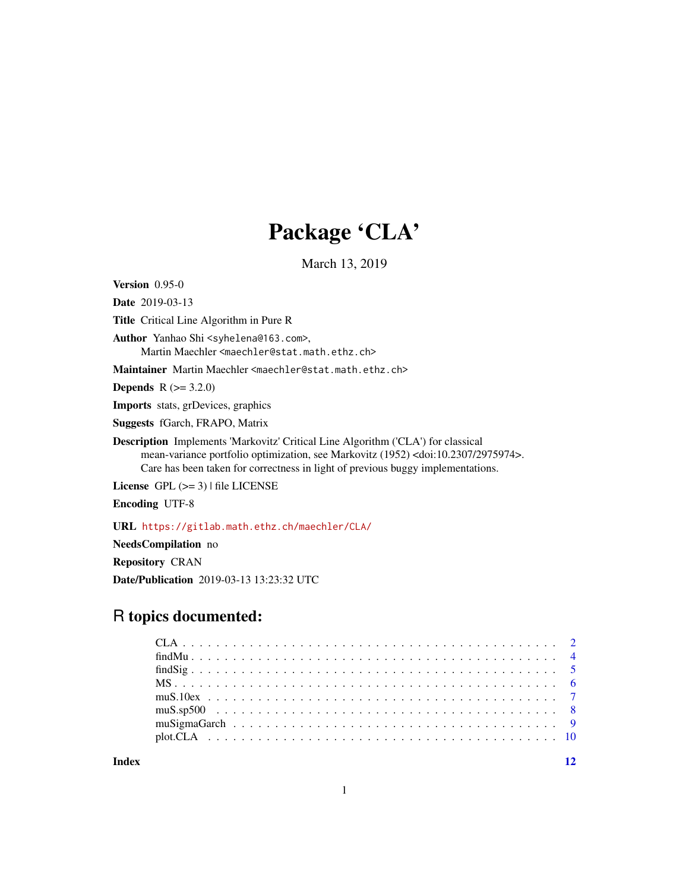# Package 'CLA'

March 13, 2019

<span id="page-0-0"></span>Version 0.95-0

Date 2019-03-13

Title Critical Line Algorithm in Pure R

Author Yanhao Shi <syhelena@163.com>, Martin Maechler <maechler@stat.math.ethz.ch>

Maintainer Martin Maechler <maechler@stat.math.ethz.ch>

**Depends**  $R (= 3.2.0)$ 

Imports stats, grDevices, graphics

Suggests fGarch, FRAPO, Matrix

Description Implements 'Markovitz' Critical Line Algorithm ('CLA') for classical mean-variance portfolio optimization, see Markovitz (1952) <doi:10.2307/2975974>. Care has been taken for correctness in light of previous buggy implementations.

License  $GPL$  ( $>= 3$ ) | file LICENSE

Encoding UTF-8

URL <https://gitlab.math.ethz.ch/maechler/CLA/>

NeedsCompilation no

Repository CRAN

Date/Publication 2019-03-13 13:23:32 UTC

# R topics documented:

**Index** [12](#page-11-0)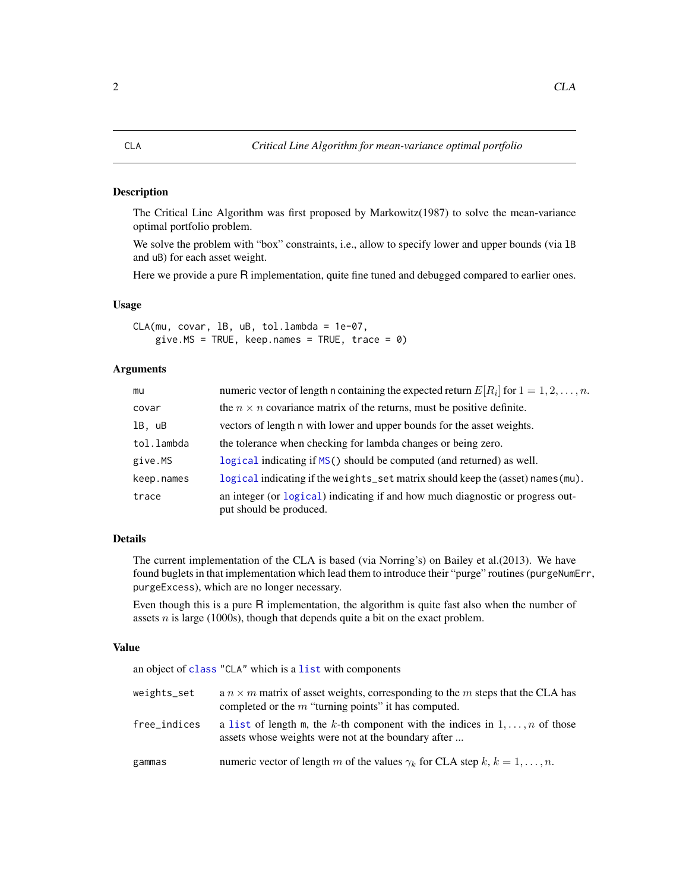#### <span id="page-1-1"></span><span id="page-1-0"></span>Description

The Critical Line Algorithm was first proposed by Markowitz(1987) to solve the mean-variance optimal portfolio problem.

We solve the problem with "box" constraints, i.e., allow to specify lower and upper bounds (via 1B) and uB) for each asset weight.

Here we provide a pure R implementation, quite fine tuned and debugged compared to earlier ones.

#### Usage

CLA(mu, covar, lB, uB, tol.lambda = 1e-07, give.MS = TRUE, keep.names = TRUE, trace =  $0$ )

#### Arguments

| mu         | numeric vector of length n containing the expected return $E[R_i]$ for $1 = 1, 2, , n$ .                  |
|------------|-----------------------------------------------------------------------------------------------------------|
| covar      | the $n \times n$ covariance matrix of the returns, must be positive definite.                             |
| 1B, uB     | vectors of length n with lower and upper bounds for the asset weights.                                    |
| tol.lambda | the tolerance when checking for lambda changes or being zero.                                             |
| give.MS    | logical indicating if MS() should be computed (and returned) as well.                                     |
| keep.names | logical indicating if the weights_set matrix should keep the (asset) names (mu).                          |
| trace      | an integer (or logical) indicating if and how much diagnostic or progress out-<br>put should be produced. |

#### Details

The current implementation of the CLA is based (via Norring's) on Bailey et al.(2013). We have found buglets in that implementation which lead them to introduce their "purge" routines (purgeNumErr, purgeExcess), which are no longer necessary.

Even though this is a pure R implementation, the algorithm is quite fast also when the number of assets  $n$  is large (1000s), though that depends quite a bit on the exact problem.

#### Value

|              | an object of class "CLA" which is a list with components                                                                                        |
|--------------|-------------------------------------------------------------------------------------------------------------------------------------------------|
| weights_set  | a $n \times m$ matrix of asset weights, corresponding to the m steps that the CLA has<br>completed or the $m$ "turning points" it has computed. |
| free_indices | a list of length m, the k-th component with the indices in $1, \ldots, n$ of those<br>assets whose weights were not at the boundary after       |
| gammas       | numeric vector of length m of the values $\gamma_k$ for CLA step $k, k = 1, , n$ .                                                              |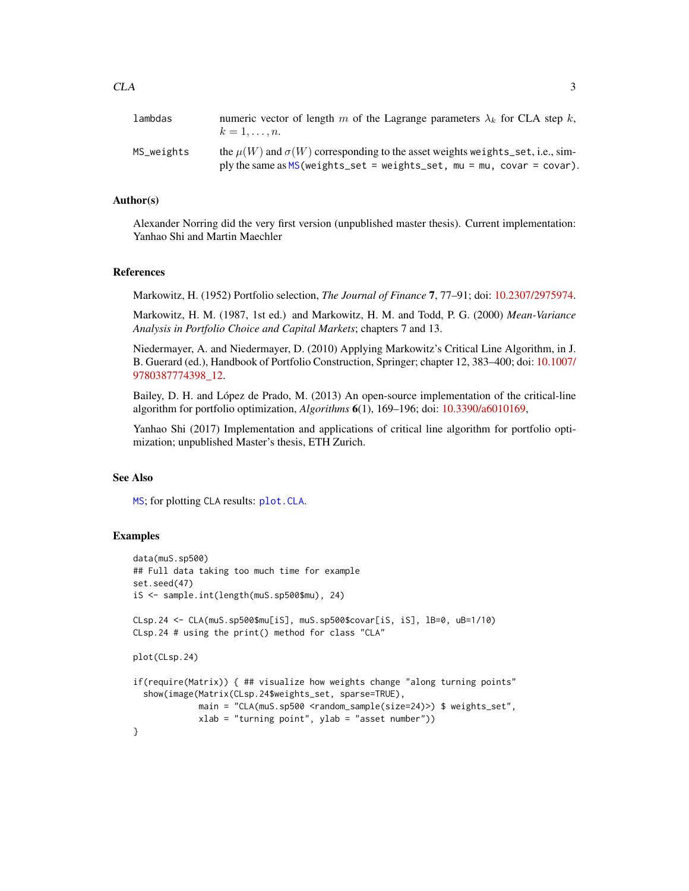<span id="page-2-0"></span>

| lambdas    | numeric vector of length m of the Lagrange parameters $\lambda_k$ for CLA step k,<br>$k=1,\ldots,n$ .                                                                |
|------------|----------------------------------------------------------------------------------------------------------------------------------------------------------------------|
| MS_weights | the $\mu(W)$ and $\sigma(W)$ corresponding to the asset weights weights set, i.e., sim-<br>ply the same as $MS$ (weights_set = weights_set, mu = mu, covar = covar). |

#### Author(s)

Alexander Norring did the very first version (unpublished master thesis). Current implementation: Yanhao Shi and Martin Maechler

#### References

Markowitz, H. (1952) Portfolio selection, *The Journal of Finance* 7, 77–91; doi: [10.2307/2975974.](http://doi.org/10.2307/2975974)

Markowitz, H. M. (1987, 1st ed.) and Markowitz, H. M. and Todd, P. G. (2000) *Mean-Variance Analysis in Portfolio Choice and Capital Markets*; chapters 7 and 13.

Niedermayer, A. and Niedermayer, D. (2010) Applying Markowitz's Critical Line Algorithm, in J. B. Guerard (ed.), Handbook of Portfolio Construction, Springer; chapter 12, 383–400; doi: [10.1007/](http://doi.org/10.1007/978-0-387-77439-8_12) [9780387774398\\_12.](http://doi.org/10.1007/978-0-387-77439-8_12)

Bailey, D. H. and López de Prado, M. (2013) An open-source implementation of the critical-line algorithm for portfolio optimization, *Algorithms* 6(1), 169–196; doi: [10.3390/a6010169,](http://doi.org/10.3390/a6010169)

Yanhao Shi (2017) Implementation and applications of critical line algorithm for portfolio optimization; unpublished Master's thesis, ETH Zurich.

#### See Also

[MS](#page-5-1); for plotting CLA results: [plot.CLA](#page-9-1).

#### Examples

```
data(muS.sp500)
## Full data taking too much time for example
set.seed(47)
iS <- sample.int(length(muS.sp500$mu), 24)
CLsp.24 <- CLA(muS.sp500$mu[iS], muS.sp500$covar[iS, iS], lB=0, uB=1/10)
CLsp.24 # using the print() method for class "CLA"
plot(CLsp.24)
if(require(Matrix)) { ## visualize how weights change "along turning points"
 show(image(Matrix(CLsp.24$weights_set, sparse=TRUE),
             main = "CLA(muS.sp500 <random_sample(size=24)>) $ weights_set",
             xlab = "turning point", ylab = "asset number"))
}
```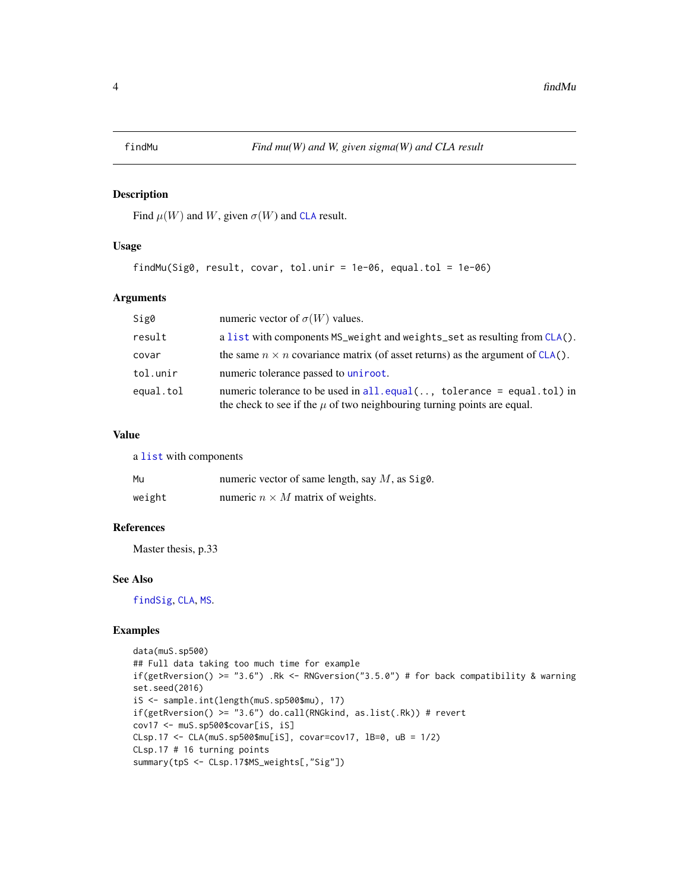#### <span id="page-3-1"></span><span id="page-3-0"></span>Description

Find  $\mu(W)$  and W, given  $\sigma(W)$  and [CLA](#page-1-1) result.

#### Usage

```
findMu(Sig0, result, covar, tol.unir = 1e-06, equal.tol = 1e-06)
```
#### Arguments

| Sig0      | numeric vector of $\sigma(W)$ values.                                                                                                                    |
|-----------|----------------------------------------------------------------------------------------------------------------------------------------------------------|
| result    | a list with components MS_weight and weights_set as resulting from CLA().                                                                                |
| covar     | the same $n \times n$ covariance matrix (of asset returns) as the argument of CLA().                                                                     |
| tol.unir  | numeric tolerance passed to uniroot.                                                                                                                     |
| equal.tol | numeric tolerance to be used in $all.equals(., tolerance = equal.tol)$ in<br>the check to see if the $\mu$ of two neighbouring turning points are equal. |

#### Value

a [list](#page-0-0) with components

| Mu     | numeric vector of same length, say $M$ , as Sig0. |
|--------|---------------------------------------------------|
| weight | numeric $n \times M$ matrix of weights.           |

#### References

Master thesis, p.33

#### See Also

[findSig](#page-4-1), [CLA](#page-1-1), [MS](#page-5-1).

#### Examples

```
data(muS.sp500)
## Full data taking too much time for example
if(getRversion() >= "3.6") .Rk <- RNGversion("3.5.0") # for back compatibility & warning
set.seed(2016)
iS <- sample.int(length(muS.sp500$mu), 17)
if(getRversion() >= "3.6") do.call(RNGkind, as.list(.Rk)) # revertcov17 <- muS.sp500$covar[iS, iS]
CLsp.17 <- CLA(muS.sp500$mu[iS], covar=cov17, lB=0, uB = 1/2)
CLsp.17 # 16 turning points
summary(tpS <- CLsp.17$MS_weights[,"Sig"])
```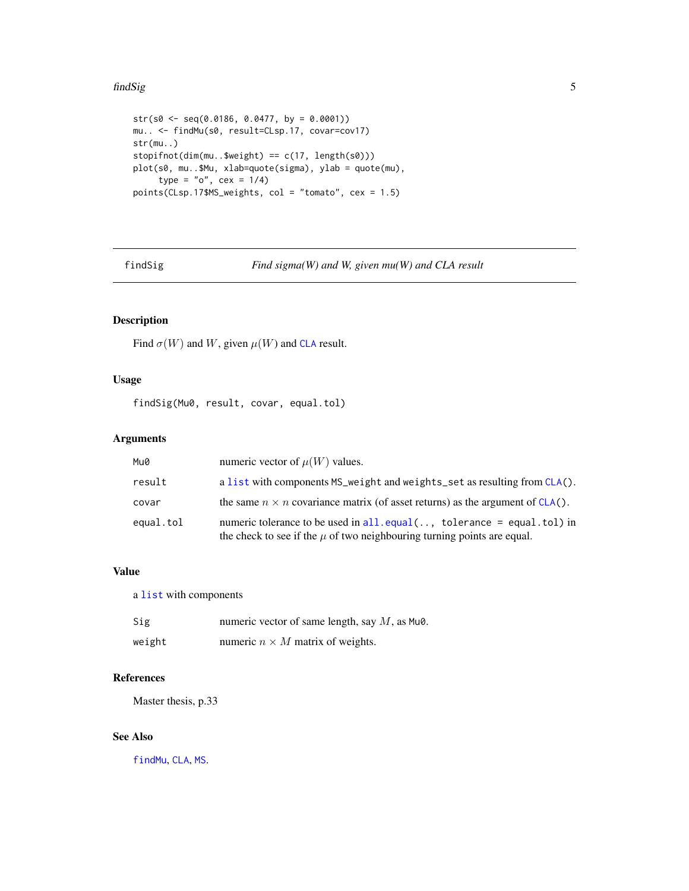#### <span id="page-4-0"></span>findSig 5

```
str(s0 \leq -seq(0.0186, 0.0477, by = 0.0001))mu.. <- findMu(s0, result=CLsp.17, covar=cov17)
str(mu..)
stopifnot(dim(mu..$weight) == c(17, length(s0)))
plot(s0, mu..$Mu, xlab=quote(sigma), ylab = quote(mu),
     type = "o", cex = 1/4)
points(CLsp.17$MS_weights, col = "tomato", cex = 1.5)
```
<span id="page-4-1"></span>findSig *Find sigma(W) and W, given mu(W) and CLA result*

#### Description

Find  $\sigma(W)$  and W, given  $\mu(W)$  and [CLA](#page-1-1) result.

#### Usage

findSig(Mu0, result, covar, equal.tol)

#### Arguments

| Mu0       | numeric vector of $\mu(W)$ values.                                                                                                                       |
|-----------|----------------------------------------------------------------------------------------------------------------------------------------------------------|
| result    | a list with components MS_weight and weights_set as resulting from CLA().                                                                                |
| covar     | the same $n \times n$ covariance matrix (of asset returns) as the argument of CLA().                                                                     |
| equal.tol | numeric tolerance to be used in $all.equals($ , tolerance = equal.tol) in<br>the check to see if the $\mu$ of two neighbouring turning points are equal. |

#### Value

a [list](#page-0-0) with components

| Sig    | numeric vector of same length, say $M$ , as Mu $\theta$ . |
|--------|-----------------------------------------------------------|
| weight | numeric $n \times M$ matrix of weights.                   |

#### References

Master thesis, p.33

#### See Also

[findMu](#page-3-1), [CLA](#page-1-1), [MS](#page-5-1).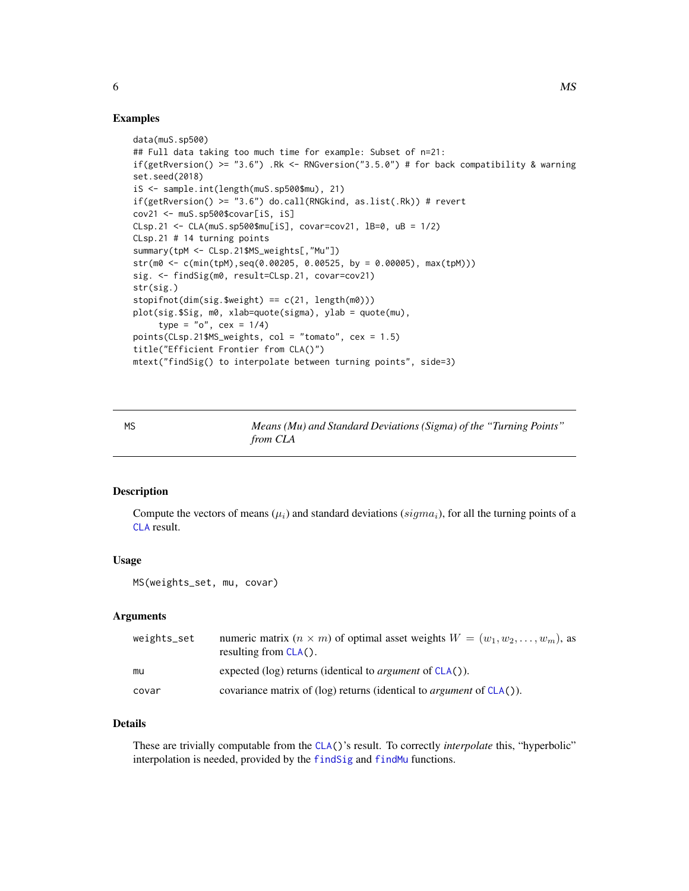#### Examples

```
data(muS.sp500)
## Full data taking too much time for example: Subset of n=21:
if(getRversion() >= "3.6") .Rk <- RNGversion("3.5.0") # for back compatibility & warning
set.seed(2018)
iS <- sample.int(length(muS.sp500$mu), 21)
if(getRversion() >= "3.6") do.call(RNGkind, as.list(.Rk)) # revertcov21 <- muS.sp500$covar[iS, iS]
CLsp.21 <- CLA(muS.sp500$mu[iS], covar=cov21, lB=0, uB = 1/2)
CLsp.21 # 14 turning points
summary(tpM <- CLsp.21$MS_weights[,"Mu"])
str(m0 <- c(min(tpM),seq(0.00205, 0.00525, by = 0.00005), max(tpM)))
sig. <- findSig(m0, result=CLsp.21, covar=cov21)
str(sig.)
stopifnot(dim(sig.$weight) == c(21, length(m0)))plot(sig.$Sig, m0, xlab=quote(sigma), ylab = quote(mu),
     type = "o", cex = 1/4)
points(CLsp.21$MS_weights, col = "tomato", cex = 1.5)
title("Efficient Frontier from CLA()")
mtext("findSig() to interpolate between turning points", side=3)
```
<span id="page-5-1"></span>MS *Means (Mu) and Standard Deviations (Sigma) of the "Turning Points" from CLA*

#### Description

Compute the vectors of means  $(\mu_i)$  and standard deviations (sigma<sub>i</sub>), for all the turning points of a [CLA](#page-1-1) result.

#### Usage

```
MS(weights_set, mu, covar)
```
#### **Arguments**

| weights_set | numeric matrix $(n \times m)$ of optimal asset weights $W = (w_1, w_2, \dots, w_m)$ , as<br>resulting from $CLA()$ . |
|-------------|----------------------------------------------------------------------------------------------------------------------|
| mu          | expected (log) returns (identical to <i>argument</i> of $CLA()$ ).                                                   |
| covar       | covariance matrix of (log) returns (identical to <i>argument</i> of $CLA()$ ).                                       |

#### Details

These are trivially computable from the [CLA\(](#page-1-1))'s result. To correctly *interpolate* this, "hyperbolic" interpolation is needed, provided by the [findSig](#page-4-1) and [findMu](#page-3-1) functions.

<span id="page-5-0"></span> $\mathcal{M}$ S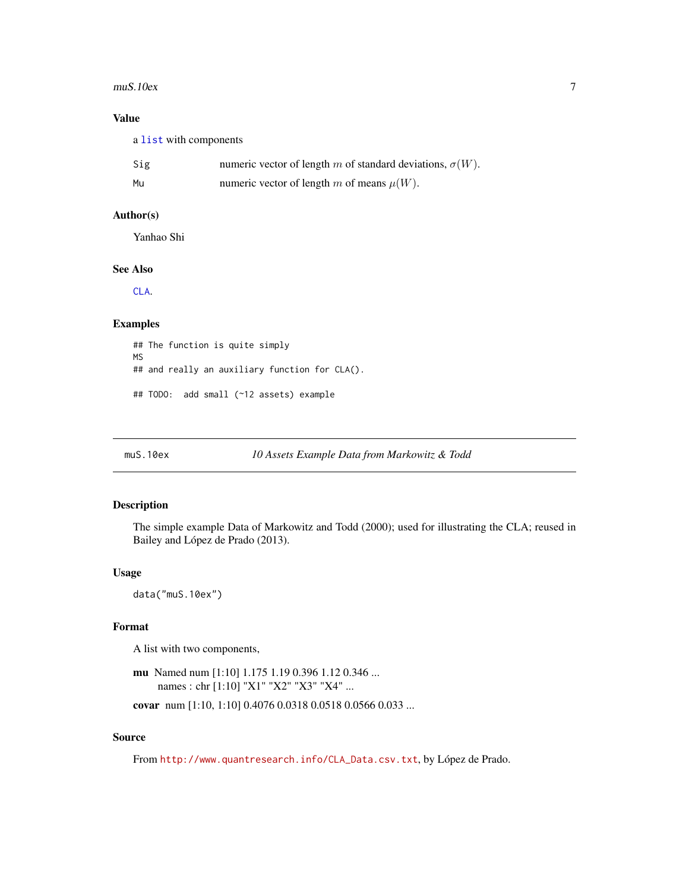#### <span id="page-6-0"></span>muS.10ex 7

#### Value

a [list](#page-0-0) with components

| Sig | numeric vector of length m of standard deviations, $\sigma(W)$ . |
|-----|------------------------------------------------------------------|
| Mu  | numeric vector of length m of means $\mu(W)$ .                   |

#### Author(s)

Yanhao Shi

#### See Also

[CLA](#page-1-1).

#### Examples

## The function is quite simply MS ## and really an auxiliary function for CLA(). ## TODO: add small (~12 assets) example

### Description

The simple example Data of Markowitz and Todd (2000); used for illustrating the CLA; reused in Bailey and López de Prado (2013).

#### Usage

data("muS.10ex")

#### Format

A list with two components,

```
mu Named num [1:10] 1.175 1.19 0.396 1.12 0.346 ...
     names : chr [1:10] "X1" "X2" "X3" "X4" ...
```
covar num [1:10, 1:10] 0.4076 0.0318 0.0518 0.0566 0.033 ...

#### Source

From [http://www.quantresearch.info/CLA\\_Data.csv.txt](http://www.quantresearch.info/CLA_Data.csv.txt), by López de Prado.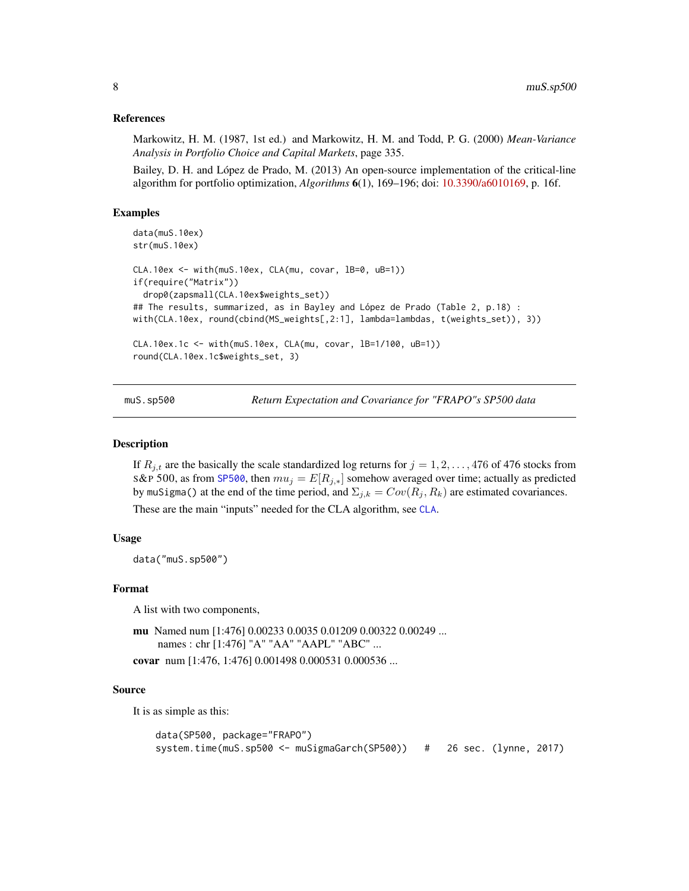#### <span id="page-7-0"></span>References

Markowitz, H. M. (1987, 1st ed.) and Markowitz, H. M. and Todd, P. G. (2000) *Mean-Variance Analysis in Portfolio Choice and Capital Markets*, page 335.

Bailey, D. H. and López de Prado, M. (2013) An open-source implementation of the critical-line algorithm for portfolio optimization, *Algorithms* 6(1), 169–196; doi: [10.3390/a6010169,](http://doi.org/10.3390/a6010169) p. 16f.

#### Examples

```
data(muS.10ex)
str(muS.10ex)
CLA.10ex < - with(muS.10ex, CLA(mu, covar, 1B=0, uB=1))if(require("Matrix"))
 drop0(zapsmall(CLA.10ex$weights_set))
## The results, summarized, as in Bayley and López de Prado (Table 2, p.18) :
with(CLA.10ex, round(cbind(MS_weights[,2:1], lambda=lambdas, t(weights_set)), 3))
CLA.10ex.1c <- with(muS.10ex, CLA(mu, covar, lB=1/100, uB=1))
round(CLA.10ex.1c$weights_set, 3)
```
<span id="page-7-1"></span>muS.sp500 *Return Expectation and Covariance for "FRAPO"s SP500 data*

#### Description

If  $R_{i,t}$  are the basically the scale standardized log returns for  $j = 1, 2, \ldots, 476$  of 476 stocks from S&P 500, as from [SP500](#page-0-0), then  $mu_j = E[R_{j,*}]$  somehow averaged over time; actually as predicted by muSigma() at the end of the time period, and  $\Sigma_{j,k} = Cov(R_j, R_k)$  are estimated covariances.

These are the main "inputs" needed for the CLA algorithm, see [CLA](#page-1-1).

#### Usage

data("muS.sp500")

#### Format

A list with two components,

```
mu Named num [1:476] 0.00233 0.0035 0.01209 0.00322 0.00249 ...
     names : chr [1:476] "A" "AA" "AAPL" "ABC" ...
covar num [1:476, 1:476] 0.001498 0.000531 0.000536 ...
```
#### Source

It is as simple as this:

```
data(SP500, package="FRAPO")
system.time(muS.sp500 <- muSigmaGarch(SP500)) # 26 sec. (lynne, 2017)
```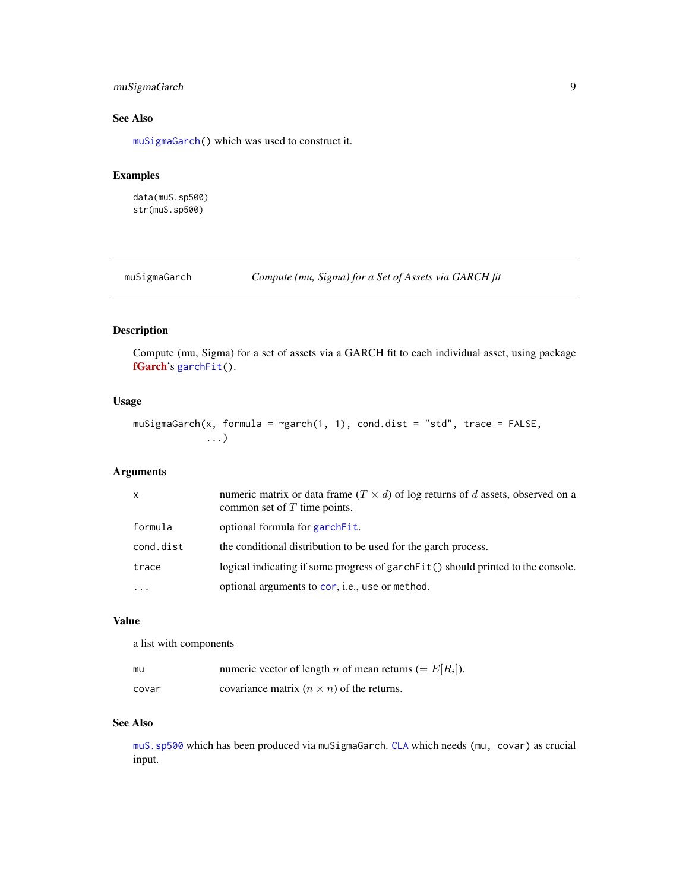### <span id="page-8-0"></span>muSigmaGarch 9

### See Also

[muSigmaGarch\(](#page-8-1)) which was used to construct it.

#### Examples

data(muS.sp500) str(muS.sp500)

<span id="page-8-1"></span>muSigmaGarch *Compute (mu, Sigma) for a Set of Assets via GARCH fit*

#### Description

Compute (mu, Sigma) for a set of assets via a GARCH fit to each individual asset, using package [fGarch](https://CRAN.R-project.org/package=fGarch)'s [garchFit\(](#page-0-0)).

#### Usage

```
muSigmaGarch(x, formula = \gammagarch(1, 1), cond.dist = "std", trace = FALSE,
             ...)
```
#### Arguments

| $\mathsf{x}$ | numeric matrix or data frame $(T \times d)$ of log returns of d assets, observed on a<br>common set of $T$ time points. |
|--------------|-------------------------------------------------------------------------------------------------------------------------|
| formula      | optional formula for garchet.                                                                                           |
| cond.dist    | the conditional distribution to be used for the garch process.                                                          |
| trace        | logical indicating if some progress of garch Fit() should printed to the console.                                       |
|              | optional arguments to cor, i.e., use or method.                                                                         |

#### Value

a list with components

| mu    | numeric vector of length <i>n</i> of mean returns (= $E[R_i]$ ). |
|-------|------------------------------------------------------------------|
| covar | covariance matrix $(n \times n)$ of the returns.                 |

#### See Also

[muS.sp500](#page-7-1) which has been produced via muSigmaGarch. [CLA](#page-1-1) which needs (mu, covar) as crucial input.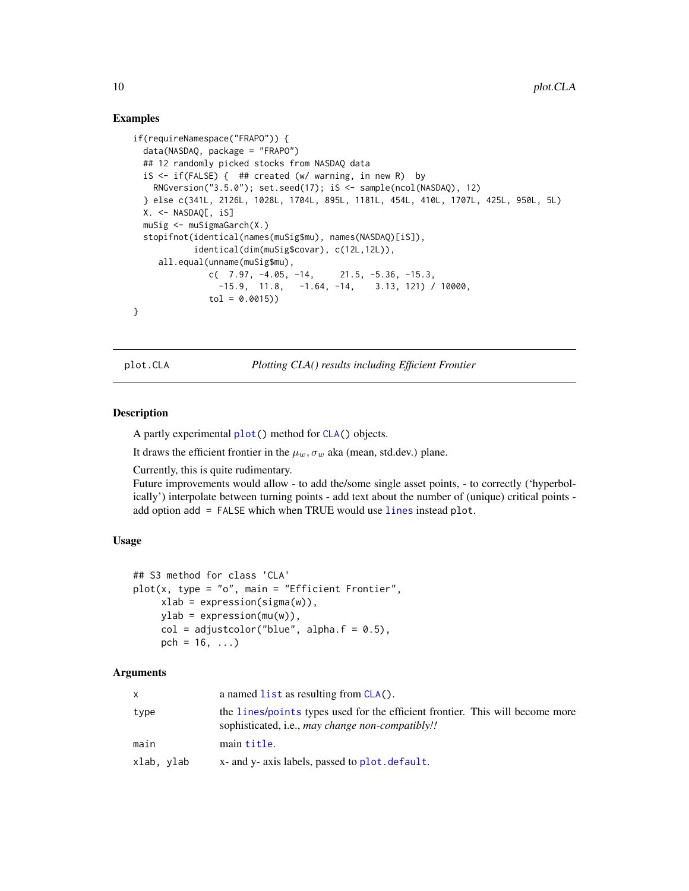#### Examples

```
if(requireNamespace("FRAPO")) {
 data(NASDAQ, package = "FRAPO")
 ## 12 randomly picked stocks from NASDAQ data
 iS <- if(FALSE) { ## created (w/ warning, in new R) by
   RNGversion("3.5.0"); set.seed(17); iS <- sample(ncol(NASDAQ), 12)
 } else c(341L, 2126L, 1028L, 1704L, 895L, 1181L, 454L, 410L, 1707L, 425L, 950L, 5L)
 X. <- NASDAQ[, iS]
 muSig <- muSigmaGarch(X.)
 stopifnot(identical(names(muSig$mu), names(NASDAQ)[iS]),
           identical(dim(muSig$covar), c(12L,12L)),
    all.equal(unname(muSig$mu),
              c( 7.97, -4.05, -14, 21.5, -5.36, -15.3,
                -15.9, 11.8, -1.64, -14, 3.13, 121) / 10000,tol = 0.0015)}
```
<span id="page-9-1"></span>plot.CLA *Plotting CLA() results including Efficient Frontier*

#### Description

A partly experimental [plot\(](#page-0-0)) method for [CLA\(](#page-1-1)) objects.

It draws the efficient frontier in the  $\mu_w$ ,  $\sigma_w$  aka (mean, std.dev.) plane.

Currently, this is quite rudimentary.

Future improvements would allow - to add the/some single asset points, - to correctly ('hyperbolically') interpolate between turning points - add text about the number of (unique) critical points add option add = FALSE which when TRUE would use [lines](#page-0-0) instead plot.

#### Usage

```
## S3 method for class 'CLA'
plot(x, type = "o", main = "Efficient Frontier",xlab = expression(sigma(w)),
     ylab = expression(mu(w)),
     col = adjustcolor("blue", alpha.f = 0.5),pch = 16, ...)
```
#### Arguments

| X          | a named $list$ as resulting from $CLA()$ .                                                                                        |
|------------|-----------------------------------------------------------------------------------------------------------------------------------|
| type       | the lines/points types used for the efficient frontier. This will become more<br>sophisticated, i.e., may change non-compatibly!! |
| main       | main title.                                                                                                                       |
| xlab, ylab | x- and y- axis labels, passed to plot default.                                                                                    |

<span id="page-9-0"></span>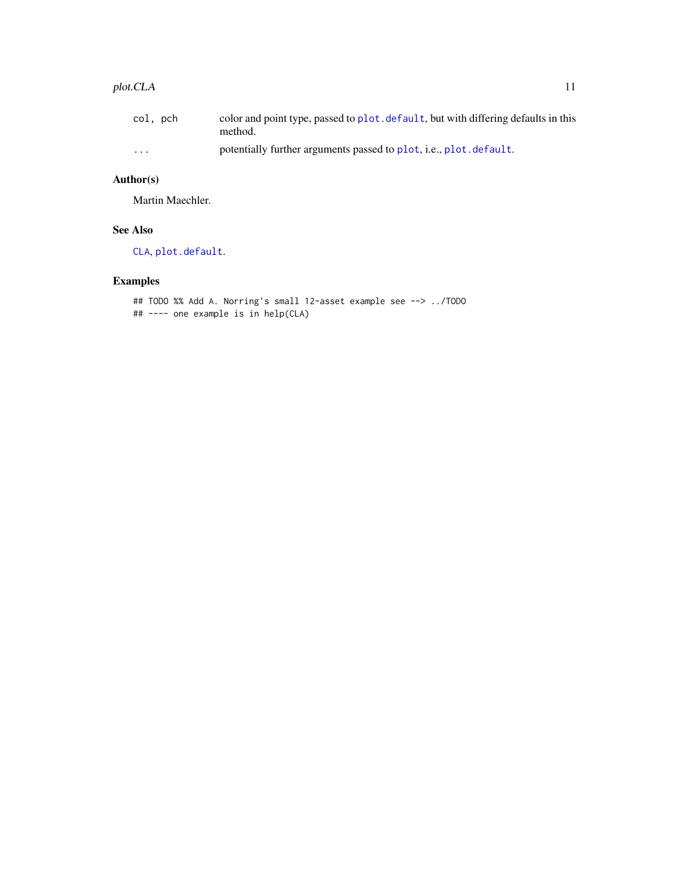#### <span id="page-10-0"></span>plot.CLA 11

| col, pch | color and point type, passed to plot. default, but with differing defaults in this<br>method. |
|----------|-----------------------------------------------------------------------------------------------|
| $\cdots$ | potentially further arguments passed to plot, i.e., plot. default.                            |

### Author(s)

Martin Maechler.

### See Also

[CLA](#page-1-1), [plot.default](#page-0-0).

## Examples

```
## TODO %% Add A. Norring's small 12-asset example see --> ../TODO
## ---- one example is in help(CLA)
```